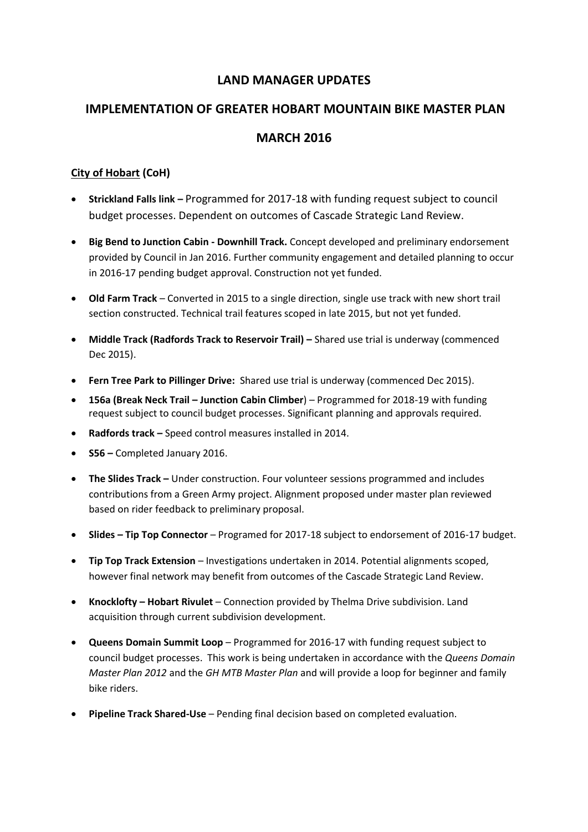# **LAND MANAGER UPDATES**

# **IMPLEMENTATION OF GREATER HOBART MOUNTAIN BIKE MASTER PLAN MARCH 2016**

## **City of Hobart (CoH)**

- **Strickland Falls link –** Programmed for 2017-18 with funding request subject to council budget processes. Dependent on outcomes of Cascade Strategic Land Review.
- **Big Bend to Junction Cabin - Downhill Track.** Concept developed and preliminary endorsement provided by Council in Jan 2016. Further community engagement and detailed planning to occur in 2016-17 pending budget approval. Construction not yet funded.
- **Old Farm Track** Converted in 2015 to a single direction, single use track with new short trail section constructed. Technical trail features scoped in late 2015, but not yet funded.
- **Middle Track (Radfords Track to Reservoir Trail) Shared use trial is underway (commenced** Dec 2015).
- **Fern Tree Park to Pillinger Drive:** Shared use trial is underway (commenced Dec 2015).
- **156a (Break Neck Trail – Junction Cabin Climber**) Programmed for 2018-19 with funding request subject to council budget processes. Significant planning and approvals required.
- **Radfords track –** Speed control measures installed in 2014.
- **S56 –** Completed January 2016.
- **•** The Slides Track Under construction. Four volunteer sessions programmed and includes contributions from a Green Army project. Alignment proposed under master plan reviewed based on rider feedback to preliminary proposal.
- **Slides – Tip Top Connector** Programed for 2017-18 subject to endorsement of 2016-17 budget.
- **Tip Top Track Extension**  Investigations undertaken in 2014. Potential alignments scoped, however final network may benefit from outcomes of the Cascade Strategic Land Review.
- **Knocklofty – Hobart Rivulet**  Connection provided by Thelma Drive subdivision. Land acquisition through current subdivision development.
- **Queens Domain Summit Loop**  Programmed for 2016-17 with funding request subject to council budget processes. This work is being undertaken in accordance with the *Queens Domain Master Plan 2012* and the *GH MTB Master Plan* and will provide a loop for beginner and family bike riders.
- **Pipeline Track Shared-Use** Pending final decision based on completed evaluation.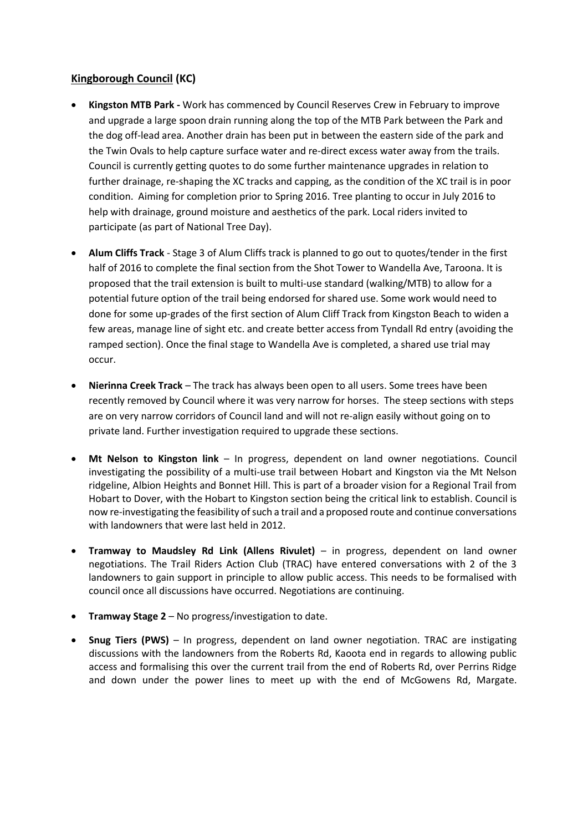### **Kingborough Council (KC)**

- **Kingston MTB Park -** Work has commenced by Council Reserves Crew in February to improve and upgrade a large spoon drain running along the top of the MTB Park between the Park and the dog off-lead area. Another drain has been put in between the eastern side of the park and the Twin Ovals to help capture surface water and re-direct excess water away from the trails. Council is currently getting quotes to do some further maintenance upgrades in relation to further drainage, re-shaping the XC tracks and capping, as the condition of the XC trail is in poor condition. Aiming for completion prior to Spring 2016. Tree planting to occur in July 2016 to help with drainage, ground moisture and aesthetics of the park. Local riders invited to participate (as part of National Tree Day).
- **Alum Cliffs Track**  Stage 3 of Alum Cliffs track is planned to go out to quotes/tender in the first half of 2016 to complete the final section from the Shot Tower to Wandella Ave, Taroona. It is proposed that the trail extension is built to multi-use standard (walking/MTB) to allow for a potential future option of the trail being endorsed for shared use. Some work would need to done for some up-grades of the first section of Alum Cliff Track from Kingston Beach to widen a few areas, manage line of sight etc. and create better access from Tyndall Rd entry (avoiding the ramped section). Once the final stage to Wandella Ave is completed, a shared use trial may occur.
- **Nierinna Creek Track** The track has always been open to all users. Some trees have been recently removed by Council where it was very narrow for horses. The steep sections with steps are on very narrow corridors of Council land and will not re-align easily without going on to private land. Further investigation required to upgrade these sections.
- **Mt Nelson to Kingston link** In progress, dependent on land owner negotiations. Council investigating the possibility of a multi-use trail between Hobart and Kingston via the Mt Nelson ridgeline, Albion Heights and Bonnet Hill. This is part of a broader vision for a Regional Trail from Hobart to Dover, with the Hobart to Kingston section being the critical link to establish. Council is now re-investigating the feasibility of such a trail and a proposed route and continue conversations with landowners that were last held in 2012.
- **Tramway to Maudsley Rd Link (Allens Rivulet)** in progress, dependent on land owner negotiations. The Trail Riders Action Club (TRAC) have entered conversations with 2 of the 3 landowners to gain support in principle to allow public access. This needs to be formalised with council once all discussions have occurred. Negotiations are continuing.
- **Tramway Stage 2**  No progress/investigation to date.
- **Snug Tiers (PWS)**  In progress, dependent on land owner negotiation. TRAC are instigating discussions with the landowners from the Roberts Rd, Kaoota end in regards to allowing public access and formalising this over the current trail from the end of Roberts Rd, over Perrins Ridge and down under the power lines to meet up with the end of McGowens Rd, Margate.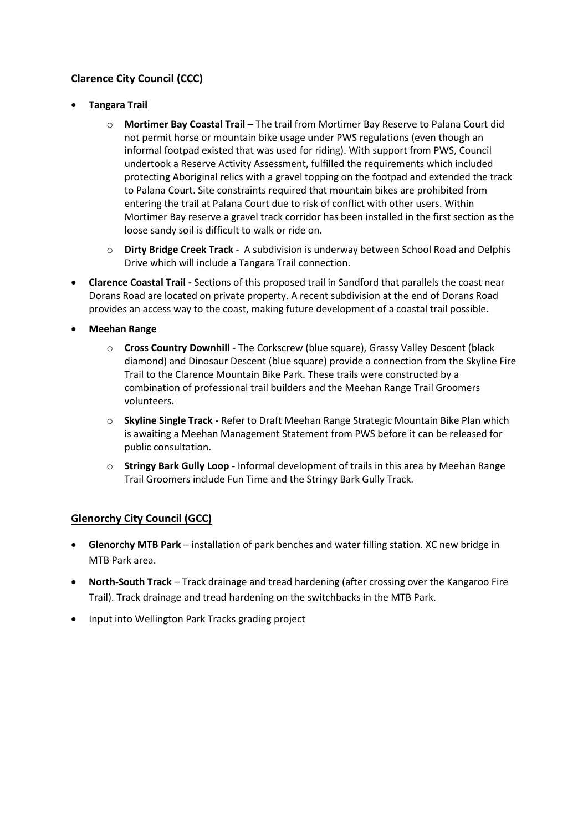# **Clarence City Council (CCC)**

- **Tangara Trail**
	- o **Mortimer Bay Coastal Trail** The trail from Mortimer Bay Reserve to Palana Court did not permit horse or mountain bike usage under PWS regulations (even though an informal footpad existed that was used for riding). With support from PWS, Council undertook a Reserve Activity Assessment, fulfilled the requirements which included protecting Aboriginal relics with a gravel topping on the footpad and extended the track to Palana Court. Site constraints required that mountain bikes are prohibited from entering the trail at Palana Court due to risk of conflict with other users. Within Mortimer Bay reserve a gravel track corridor has been installed in the first section as the loose sandy soil is difficult to walk or ride on.
	- o **Dirty Bridge Creek Track** A subdivision is underway between School Road and Delphis Drive which will include a Tangara Trail connection.
- **Clarence Coastal Trail -** Sections of this proposed trail in Sandford that parallels the coast near Dorans Road are located on private property. A recent subdivision at the end of Dorans Road provides an access way to the coast, making future development of a coastal trail possible.
- **Meehan Range**
	- o **Cross Country Downhill** The Corkscrew (blue square), Grassy Valley Descent (black diamond) and Dinosaur Descent (blue square) provide a connection from the Skyline Fire Trail to the Clarence Mountain Bike Park. These trails were constructed by a combination of professional trail builders and the Meehan Range Trail Groomers volunteers.
	- o **Skyline Single Track -** Refer to Draft Meehan Range Strategic Mountain Bike Plan which is awaiting a Meehan Management Statement from PWS before it can be released for public consultation.
	- o **Stringy Bark Gully Loop -** Informal development of trails in this area by Meehan Range Trail Groomers include Fun Time and the Stringy Bark Gully Track.

## **Glenorchy City Council (GCC)**

- **Glenorchy MTB Park** installation of park benches and water filling station. XC new bridge in MTB Park area.
- **North-South Track** Track drainage and tread hardening (after crossing over the Kangaroo Fire Trail). Track drainage and tread hardening on the switchbacks in the MTB Park.
- Input into Wellington Park Tracks grading project